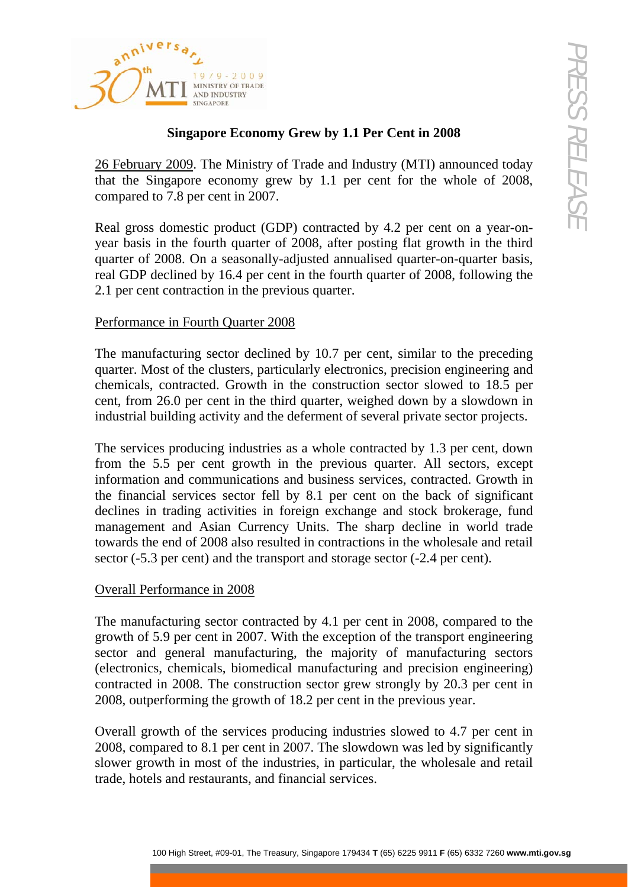

# **Singapore Economy Grew by 1.1 Per Cent in 2008**

26 February 2009. The Ministry of Trade and Industry (MTI) announced today that the Singapore economy grew by 1.1 per cent for the whole of 2008, compared to 7.8 per cent in 2007.

Real gross domestic product (GDP) contracted by 4.2 per cent on a year-onyear basis in the fourth quarter of 2008, after posting flat growth in the third quarter of 2008. On a seasonally-adjusted annualised quarter-on-quarter basis, real GDP declined by 16.4 per cent in the fourth quarter of 2008, following the 2.1 per cent contraction in the previous quarter.

## Performance in Fourth Quarter 2008

The manufacturing sector declined by 10.7 per cent, similar to the preceding quarter. Most of the clusters, particularly electronics, precision engineering and chemicals, contracted. Growth in the construction sector slowed to 18.5 per cent, from 26.0 per cent in the third quarter, weighed down by a slowdown in industrial building activity and the deferment of several private sector projects.

**19.18**  $\alpha_{\text{2}}$   $\alpha_{\text{3}}$   $\beta_{\text{3}}$  and  $\beta_{\text{4}}$  ( $\beta_{\text{4}}$  and  $\beta_{\text{5}}$  ( $\beta_{\text{5}}$  and  $\alpha_{\text{6}}$  and  $\alpha_{\text{7}}$  and  $\alpha_{\text{8}}$  3832 729134 ( $\alpha_{\text{7}}$  3832 72915) ( $\alpha_{\text{7}}$  3832 7276 100 Ministry of Trade a The services producing industries as a whole contracted by 1.3 per cent, down from the 5.5 per cent growth in the previous quarter. All sectors, except information and communications and business services, contracted. Growth in the financial services sector fell by 8.1 per cent on the back of significant declines in trading activities in foreign exchange and stock brokerage, fund management and Asian Currency Units. The sharp decline in world trade towards the end of 2008 also resulted in contractions in the wholesale and retail sector (-5.3 per cent) and the transport and storage sector (-2.4 per cent).

## Overall Performance in 2008

The manufacturing sector contracted by 4.1 per cent in 2008, compared to the growth of 5.9 per cent in 2007. With the exception of the transport engineering sector and general manufacturing, the majority of manufacturing sectors (electronics, chemicals, biomedical manufacturing and precision engineering) contracted in 2008. The construction sector grew strongly by 20.3 per cent in 2008, outperforming the growth of 18.2 per cent in the previous year.

Overall growth of the services producing industries slowed to 4.7 per cent in 2008, compared to 8.1 per cent in 2007. The slowdown was led by significantly slower growth in most of the industries, in particular, the wholesale and retail trade, hotels and restaurants, and financial services.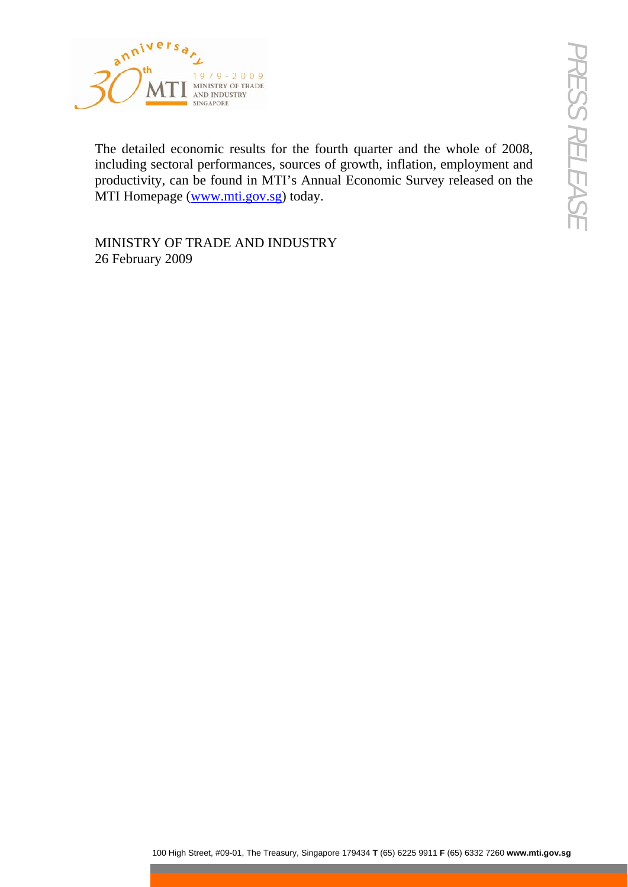

100 High Street, 2002<br>
100 High Street, The Treasury, Singapore 179434<br>
Exploration High Street, Sources of growth, inflation, employment and<br>
The Commite Treasury, Singapore 179434 Factor ornite Survey released on the<br>
Th The detailed economic results for the fourth quarter and the whole of 2008, including sectoral performances, sources of growth, inflation, employment and productivity, can be found in MTI's Annual Economic Survey released on the MTI Homepage ([www.mti.gov.sg](http://www.mti.gov.sg/)) today.

MINISTRY OF TRADE AND INDUSTRY 26 February 2009